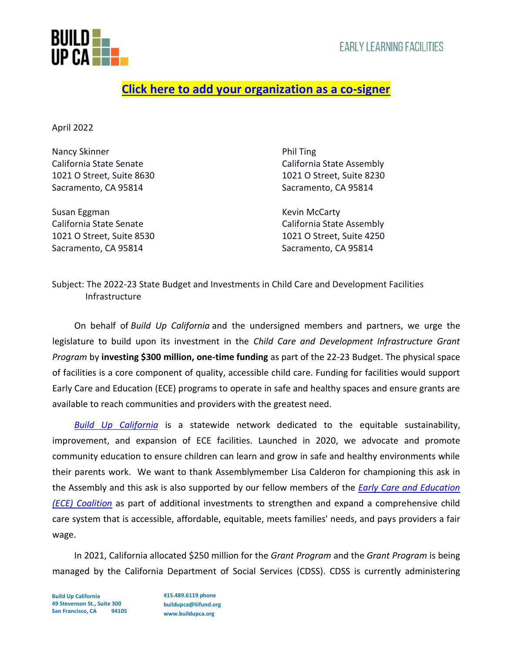

## **[Click here to add your organization as a co-signer](https://forms.gle/SxVZyVw9kn7dcEoq6)**

April 2022

Nancy Skinner **Nancy Skinner** Phil Ting California State Senate California State Assembly 1021 O Street, Suite 8630 1021 O Street, Suite 8230 Sacramento, CA 95814 Sacramento, CA 95814

Susan Eggman Kevin McCarty Sacramento, CA 95814 Sacramento, CA 95814

California State Senate California State Assembly 1021 O Street, Suite 8530 1021 O Street, Suite 4250

Subject: The 2022-23 State Budget and Investments in Child Care and Development Facilities Infrastructure

On behalf of *Build Up California* and the undersigned members and partners, we urge the legislature to build upon its investment in the *Child Care and Development Infrastructure Grant Program* by **investing \$300 million, one-time funding** as part of the 22-23 Budget. The physical space of facilities is a core component of quality, accessible child care. Funding for facilities would support Early Care and Education (ECE) programs to operate in safe and healthy spaces and ensure grants are available to reach communities and providers with the greatest need.

*[Build Up California](https://buildupca.org/)* is a statewide network dedicated to the equitable sustainability, improvement, and expansion of ECE facilities. Launched in 2020, we advocate and promote community education to ensure children can learn and grow in safe and healthy environments while their parents work. We want to thank Assemblymember Lisa Calderon for championing this ask in the Assembly and this ask is also supported by our fellow members of the *[Early Care and Education](https://www.ece4all.com/)  [\(ECE\) Coalition](https://www.ece4all.com/)* as part of additional investments to strengthen and expand a comprehensive child care system that is accessible, affordable, equitable, meets families' needs, and pays providers a fair wage.

In 2021, California allocated \$250 million for the *Grant Program* and the *Grant Program* is being managed by the California Department of Social Services (CDSS). CDSS is currently administering

**Build Up California 49 Stevenson St., Suite 300 San Francisco, CA 94105** **415.489.6119 phone buildupca@liifund.org www.buildupca.org**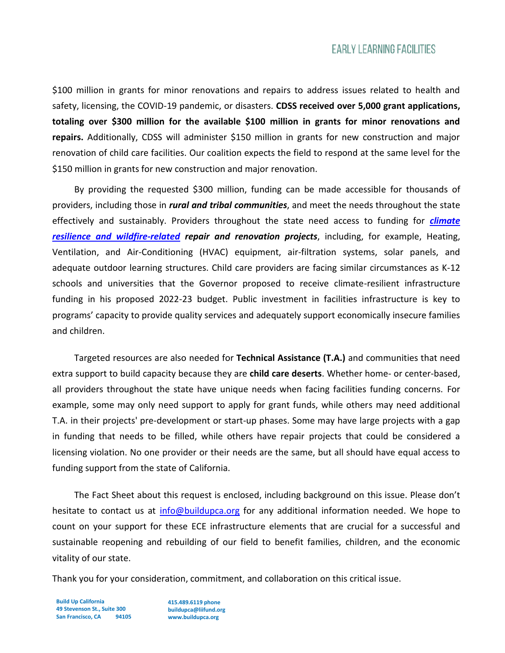## **EARLY LEARNING FACILITIES**

\$100 million in grants for minor renovations and repairs to address issues related to health and safety, licensing, the COVID-19 pandemic, or disasters. **CDSS received over 5,000 grant applications, totaling over \$300 million for the available \$100 million in grants for minor renovations and repairs.** Additionally, CDSS will administer \$150 million in grants for new construction and major renovation of child care facilities. Our coalition expects the field to respond at the same level for the \$150 million in grants for new construction and major renovation.

By providing the requested \$300 million, funding can be made accessible for thousands of providers, including those in *rural and tribal communities*, and meet the needs throughout the state effectively and sustainably. Providers throughout the state need access to funding for *[climate](https://drive.google.com/file/d/1bmzEXHQAZm3PsQNK9yRs0pcVHFBLHZ1Y/view) resilience [and wildfire-related](https://drive.google.com/file/d/1bmzEXHQAZm3PsQNK9yRs0pcVHFBLHZ1Y/view) repair and renovation projects*, including, for example, Heating, Ventilation, and Air-Conditioning (HVAC) equipment, air-filtration systems, solar panels, and adequate outdoor learning structures. Child care providers are facing similar circumstances as K-12 schools and universities that the Governor proposed to receive climate-resilient infrastructure funding in his proposed 2022-23 budget. Public investment in facilities infrastructure is key to programs' capacity to provide quality services and adequately support economically insecure families and children.

Targeted resources are also needed for **Technical Assistance (T.A.)** and communities that need extra support to build capacity because they are **child care deserts**. Whether home- or center-based, all providers throughout the state have unique needs when facing facilities funding concerns. For example, some may only need support to apply for grant funds, while others may need additional T.A. in their projects' pre-development or start-up phases. Some may have large projects with a gap in funding that needs to be filled, while others have repair projects that could be considered a licensing violation. No one provider or their needs are the same, but all should have equal access to funding support from the state of California.

The Fact Sheet about this request is enclosed, including background on this issue. Please don't hesitate to contact us at [info@buildupca.org](mailto:info@buildupca.org) for any additional information needed. We hope to count on your support for these ECE infrastructure elements that are crucial for a successful and sustainable reopening and rebuilding of our field to benefit families, children, and the economic vitality of our state.

Thank you for your consideration, commitment, and collaboration on this critical issue.

**Build Up California 49 Stevenson St., Suite 300 San Francisco, CA 94105**

**415.489.6119 phone buildupca@liifund.org www.buildupca.org**